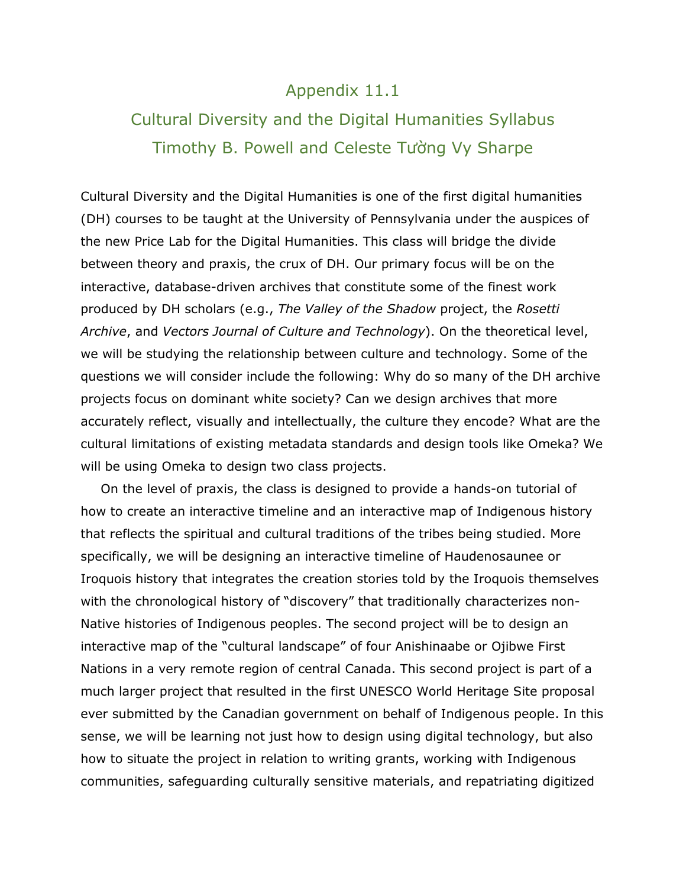## Appendix 11.1

## Cultural Diversity and the Digital Humanities Syllabus Timothy B. Powell and Celeste Tường Vy Sharpe

Cultural Diversity and the Digital Humanities is one of the first digital humanities (DH) courses to be taught at the University of Pennsylvania under the auspices of the new Price Lab for the Digital Humanities. This class will bridge the divide between theory and praxis, the crux of DH. Our primary focus will be on the interactive, database-driven archives that constitute some of the finest work produced by DH scholars (e.g., *The Valley of the Shadow* project, the *Rosetti Archive*, and *Vectors Journal of Culture and Technology*). On the theoretical level, we will be studying the relationship between culture and technology. Some of the questions we will consider include the following: Why do so many of the DH archive projects focus on dominant white society? Can we design archives that more accurately reflect, visually and intellectually, the culture they encode? What are the cultural limitations of existing metadata standards and design tools like Omeka? We will be using Omeka to design two class projects.

On the level of praxis, the class is designed to provide a hands-on tutorial of how to create an interactive timeline and an interactive map of Indigenous history that reflects the spiritual and cultural traditions of the tribes being studied. More specifically, we will be designing an interactive timeline of Haudenosaunee or Iroquois history that integrates the creation stories told by the Iroquois themselves with the chronological history of "discovery" that traditionally characterizes non-Native histories of Indigenous peoples. The second project will be to design an interactive map of the "cultural landscape" of four Anishinaabe or Ojibwe First Nations in a very remote region of central Canada. This second project is part of a much larger project that resulted in the first UNESCO World Heritage Site proposal ever submitted by the Canadian government on behalf of Indigenous people. In this sense, we will be learning not just how to design using digital technology, but also how to situate the project in relation to writing grants, working with Indigenous communities, safeguarding culturally sensitive materials, and repatriating digitized